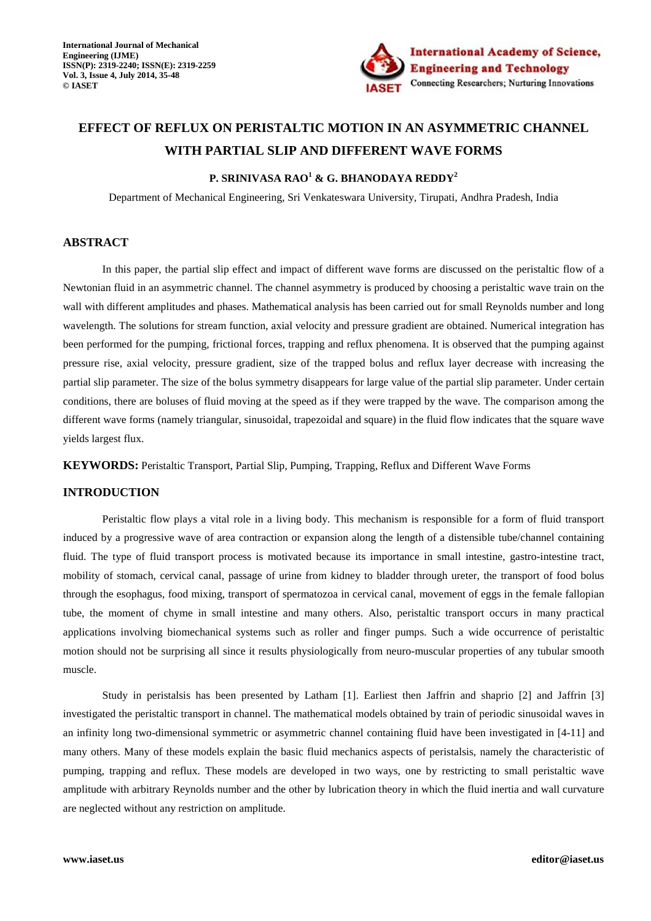

# **EFFECT OF REFLUX ON PERISTALTIC MOTION IN AN ASYMMETRIC CHANNEL WITH PARTIAL SLIP AND DIFFERENT WAVE FORMS**

# **P. SRINIVASA RAO<sup>1</sup> & G. BHANODAYA REDDY<sup>2</sup>**

Department of Mechanical Engineering, Sri Venkateswara University, Tirupati, Andhra Pradesh, India

# **ABSTRACT**

In this paper, the partial slip effect and impact of different wave forms are discussed on the peristaltic flow of a Newtonian fluid in an asymmetric channel. The channel asymmetry is produced by choosing a peristaltic wave train on the wall with different amplitudes and phases. Mathematical analysis has been carried out for small Reynolds number and long wavelength. The solutions for stream function, axial velocity and pressure gradient are obtained. Numerical integration has been performed for the pumping, frictional forces, trapping and reflux phenomena. It is observed that the pumping against pressure rise, axial velocity, pressure gradient, size of the trapped bolus and reflux layer decrease with increasing the partial slip parameter. The size of the bolus symmetry disappears for large value of the partial slip parameter. Under certain conditions, there are boluses of fluid moving at the speed as if they were trapped by the wave. The comparison among the different wave forms (namely triangular, sinusoidal, trapezoidal and square) in the fluid flow indicates that the square wave yields largest flux.

**KEYWORDS:** Peristaltic Transport, Partial Slip, Pumping, Trapping, Reflux and Different Wave Forms

# **INTRODUCTION**

Peristaltic flow plays a vital role in a living body. This mechanism is responsible for a form of fluid transport induced by a progressive wave of area contraction or expansion along the length of a distensible tube/channel containing fluid. The type of fluid transport process is motivated because its importance in small intestine, gastro-intestine tract, mobility of stomach, cervical canal, passage of urine from kidney to bladder through ureter, the transport of food bolus through the esophagus, food mixing, transport of spermatozoa in cervical canal, movement of eggs in the female fallopian tube, the moment of chyme in small intestine and many others. Also, peristaltic transport occurs in many practical applications involving biomechanical systems such as roller and finger pumps. Such a wide occurrence of peristaltic motion should not be surprising all since it results physiologically from neuro-muscular properties of any tubular smooth muscle.

Study in peristalsis has been presented by Latham [1]. Earliest then Jaffrin and shaprio [2] and Jaffrin [3] investigated the peristaltic transport in channel. The mathematical models obtained by train of periodic sinusoidal waves in an infinity long two-dimensional symmetric or asymmetric channel containing fluid have been investigated in [4-11] and many others. Many of these models explain the basic fluid mechanics aspects of peristalsis, namely the characteristic of pumping, trapping and reflux. These models are developed in two ways, one by restricting to small peristaltic wave amplitude with arbitrary Reynolds number and the other by lubrication theory in which the fluid inertia and wall curvature are neglected without any restriction on amplitude.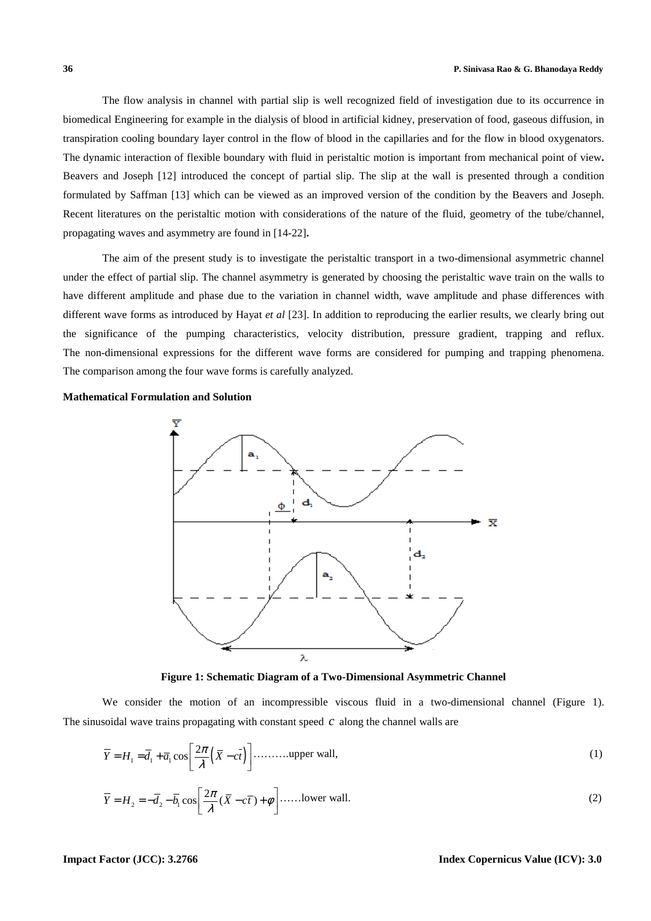The flow analysis in channel with partial slip is well recognized field of investigation due to its occurrence in biomedical Engineering for example in the dialysis of blood in artificial kidney, preservation of food, gaseous diffusion, in transpiration cooling boundary layer control in the flow of blood in the capillaries and for the flow in blood oxygenators. The dynamic interaction of flexible boundary with fluid in peristaltic motion is important from mechanical point of view**.** Beavers and Joseph [12] introduced the concept of partial slip. The slip at the wall is presented through a condition formulated by Saffman [13] which can be viewed as an improved version of the condition by the Beavers and Joseph. Recent literatures on the peristaltic motion with considerations of the nature of the fluid, geometry of the tube/channel, propagating waves and asymmetry are found in [14-22]**.**

The aim of the present study is to investigate the peristaltic transport in a two-dimensional asymmetric channel under the effect of partial slip. The channel asymmetry is generated by choosing the peristaltic wave train on the walls to have different amplitude and phase due to the variation in channel width, wave amplitude and phase differences with different wave forms as introduced by Hayat *et al* [23]. In addition to reproducing the earlier results, we clearly bring out the significance of the pumping characteristics, velocity distribution, pressure gradient, trapping and reflux. The non-dimensional expressions for the different wave forms are considered for pumping and trapping phenomena. The comparison among the four wave forms is carefully analyzed.

**Mathematical Formulation and Solution** 



**Figure 1: Schematic Diagram of a Two-Dimensional Asymmetric Channel** 

We consider the motion of an incompressible viscous fluid in a two-dimensional channel (Figure 1). The sinusoidal wave trains propagating with constant speed *c* along the channel walls are

$$
\overline{Y} = H_1 = \overline{d}_1 + \overline{a}_1 \cos\left[\frac{2\pi}{\lambda} \left(\overline{X} - c\overline{t}\right)\right] \dots \dots \dots \text{upper wall},\tag{1}
$$

$$
\overline{Y} = H_2 = -\overline{d}_2 - \overline{b}_1 \cos\left[\frac{2\pi}{\lambda}(\overline{X} - c\overline{t}) + \phi\right] \dots \dots \text{lower wall.}
$$
\n(2)

#### **Impact Factor (JCC): 3.2766 Index Copernicus Value (ICV): 3.0**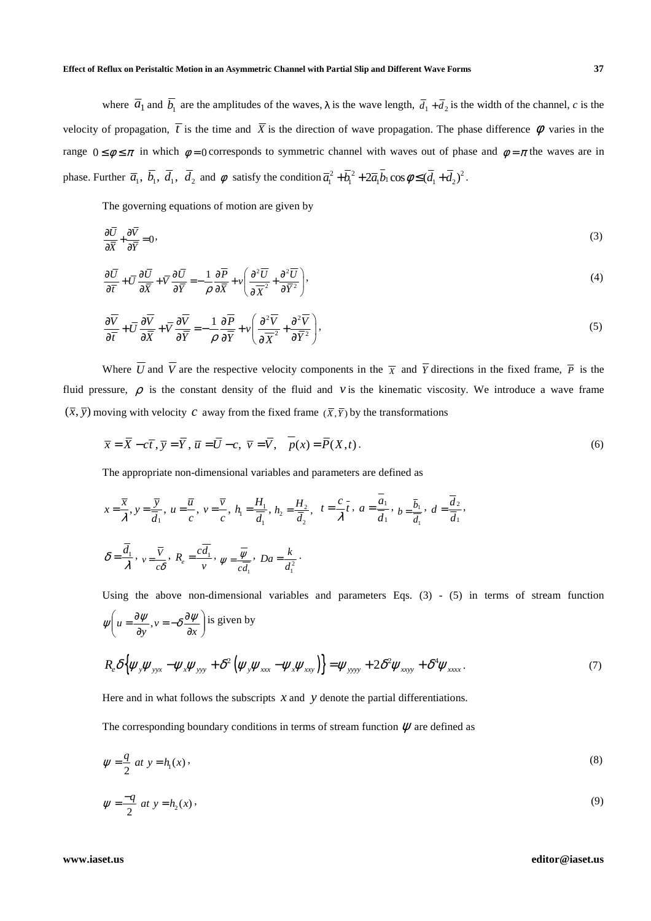where  $\overline{a}_1$  and  $\overline{b}_1$  are the amplitudes of the waves,  $\lambda$  is the wave length,  $\overline{d}_1 + \overline{d}_2$  is the width of the channel, *c* is the velocity of propagation,  $\overline{t}$  is the time and  $\overline{X}$  is the direction of wave propagation. The phase difference  $\phi$  varies in the range  $0 \le \phi \le \pi$  in which  $\phi = 0$  corresponds to symmetric channel with waves out of phase and  $\phi = \pi$  the waves are in phase. Further  $\overline{a}_1$ ,  $\overline{b}_1$ ,  $\overline{d}_2$  and  $\phi$  satisfy the condition  $\overline{a}_1^2 + \overline{b}_1^2 + 2\overline{a}_1 \overline{b}_1 \cos \phi \leq (\overline{d}_1 + \overline{d}_2)^2$ .

The governing equations of motion are given by

$$
\frac{\partial \overline{U}}{\partial \overline{X}} + \frac{\partial \overline{V}}{\partial \overline{Y}} = 0,\tag{3}
$$

$$
\frac{\partial \overline{U}}{\partial \overline{t}} + \overline{U} \frac{\partial \overline{U}}{\partial \overline{X}} + \overline{V} \frac{\partial \overline{U}}{\partial \overline{Y}} = -\frac{1}{\rho} \frac{\partial \overline{P}}{\partial \overline{X}} + \nu \left( \frac{\partial^2 \overline{U}}{\partial \overline{X}^2} + \frac{\partial^2 \overline{U}}{\partial \overline{Y}^2} \right),\tag{4}
$$

$$
\frac{\partial \overline{V}}{\partial \overline{t}} + \overline{U} \frac{\partial \overline{V}}{\partial \overline{X}} + \overline{V} \frac{\partial \overline{V}}{\partial \overline{Y}} = -\frac{1}{\rho} \frac{\partial \overline{P}}{\partial \overline{Y}} + \nu \left( \frac{\partial^2 \overline{V}}{\partial \overline{X}^2} + \frac{\partial^2 \overline{V}}{\partial \overline{Y}^2} \right),
$$
\n(5)

Where  $\overline{U}$  and  $\overline{V}$  are the respective velocity components in the  $\overline{X}$  and  $\overline{Y}$  directions in the fixed frame,  $\overline{P}$  is the fluid pressure,  $\rho$  is the constant density of the fluid and *v* is the kinematic viscosity. We introduce a wave frame  $(\overline{x}, \overline{y})$  moving with velocity *c* away from the fixed frame  $(\overline{x}, \overline{y})$  by the transformations

$$
\overline{x} = \overline{X} - c\overline{t}, \overline{y} = \overline{Y}, \overline{u} = \overline{U} - c, \overline{v} = \overline{V}, \overline{p}(x) = \overline{P}(X, t).
$$
\n(6)

The appropriate non-dimensional variables and parameters are defined as

$$
x = \frac{\overline{x}}{\lambda}, y = \frac{\overline{y}}{\overline{d}_1}, u = \frac{\overline{u}}{c}, v = \frac{\overline{v}}{c}, h_1 = \frac{H_1}{\overline{d}_1}, h_2 = \frac{H_2}{\overline{d}_2}, t = \frac{c}{\lambda}, a = \frac{a_1}{\overline{d}_1}, b = \frac{\overline{b}_1}{\overline{d}_1}, d = \frac{\overline{d}_2}{\overline{d}_1},
$$
  

$$
\delta = \frac{\overline{d}_1}{\lambda}, v = \frac{\overline{v}}{c\delta}, R_e = \frac{c\overline{d}_1}{v}, \psi = \frac{\overline{w}}{c\overline{d}_1}, Da = \frac{k}{d_1^2}.
$$

Using the above non-dimensional variables and parameters Eqs. (3) - (5) in terms of stream function  $\overline{\phantom{a}}$ J  $\backslash$  $\overline{\phantom{a}}$ l ſ ∂  $rac{\partial \psi}{\partial y}, v = -\delta \frac{\partial}{\partial z}$  $\psi\left(u = \frac{\partial \psi}{\partial y}, v = -\delta \frac{\partial \psi}{\partial x}\right)$  is given by

$$
R_e \delta \{\psi_y \psi_{yyx} - \psi_x \psi_{yyy} + \delta^2 (\psi_y \psi_{xxx} - \psi_x \psi_{xy})\} = \psi_{yyy} + 2 \delta^2 \psi_{xxyy} + \delta^4 \psi_{xxxx}.
$$
 (7)

Here and in what follows the subscripts  $x$  and  $y$  denote the partial differentiations.

The corresponding boundary conditions in terms of stream function  $\mathcal{U}$  are defined as

$$
\psi = \frac{q}{2} \text{ at } y = h_1(x) \tag{8}
$$

$$
\psi = -\frac{q}{2} \text{ at } y = h_2(x) \,, \tag{9}
$$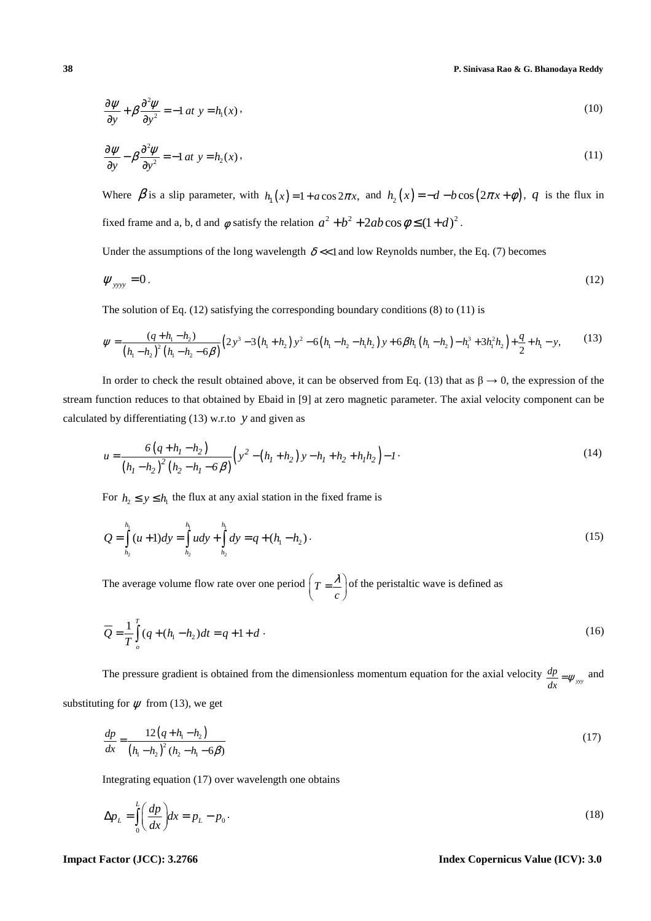**38 P. Sinivasa Rao & G. Bhanodaya Reddy**

$$
\frac{\partial \psi}{\partial y} + \beta \frac{\partial^2 \psi}{\partial y^2} = -1 \, at \, y = h_1(x) \,.
$$

$$
\frac{\partial \psi}{\partial y} - \beta \frac{\partial^2 \psi}{\partial y^2} = -1 \, at \, y = h_2(x) \,, \tag{11}
$$

Where  $\beta$  is a slip parameter, with  $h_1(x) = 1 + a \cos 2\pi x$ , and  $h_2(x) = -d - b \cos (2\pi x + \phi)$ , *q* is the flux in fixed frame and a, b, d and  $\phi$  satisfy the relation  $a^2 + b^2 + 2ab \cos \phi \le (1 + d)^2$ .

Under the assumptions of the long wavelength  $\delta \ll 1$  and low Reynolds number, the Eq. (7) becomes

$$
\psi_{\text{yyy}} = 0. \tag{12}
$$

The solution of Eq.  $(12)$  satisfying the corresponding boundary conditions  $(8)$  to  $(11)$  is

$$
\psi = \frac{(q + h_1 - h_2)}{(h_1 - h_2)^2 (h_1 - h_2 - 6\beta)} (2y^3 - 3(h_1 + h_2) y^2 - 6(h_1 - h_2 - h_1 h_2) y + 6\beta h_1 (h_1 - h_2) - h_1^3 + 3h_1^2 h_2 + \frac{q}{2} + h_1 - y, \tag{13}
$$

In order to check the result obtained above, it can be observed from Eq. (13) that as  $\beta \rightarrow 0$ , the expression of the stream function reduces to that obtained by Ebaid in [9] at zero magnetic parameter. The axial velocity component can be calculated by differentiating (13) w.r.to *y* and given as

$$
u = \frac{6(q + h_1 - h_2)}{(h_1 - h_2)^2 (h_2 - h_1 - 6\beta)} \left( y^2 - (h_1 + h_2) y - h_1 + h_2 + h_1 h_2 \right) - 1
$$
 (14)

For  $h_2 \le y \le h_1$  the flux at any axial station in the fixed frame is

$$
Q = \int_{h_2}^{h_1} (u+1) dy = \int_{h_2}^{h_1} u dy + \int_{h_2}^{h_1} dy = q + (h_1 - h_2).
$$
 (15)

The average volume flow rate over one period  $T = \frac{\lambda}{c}$  $\left(T=\frac{\lambda}{c}\right)$ of the peristaltic wave is defined as

$$
\overline{Q} = \frac{1}{T} \int_{0}^{T} (q + (h_1 - h_2))dt = q + 1 + d
$$
 (16)

The pressure gradient is obtained from the dimensionless momentum equation for the axial velocity  $\frac{dp}{d\theta} = \psi_{yy}$  $\frac{dp}{dx} = \psi_{yy}$  and

substituting for  $\psi$  from (13), we get

$$
\frac{dp}{dx} = \frac{12(q + h_1 - h_2)}{(h_1 - h_2)^2 (h_2 - h_1 - 6\beta)}
$$
\n(17)

Integrating equation (17) over wavelength one obtains

$$
\Delta p_L = \int_0^L \left(\frac{dp}{dx}\right) dx = p_L - p_0. \tag{18}
$$

**Impact Factor (JCC): 3.2766 Index Copernicus Value (ICV): 3.0**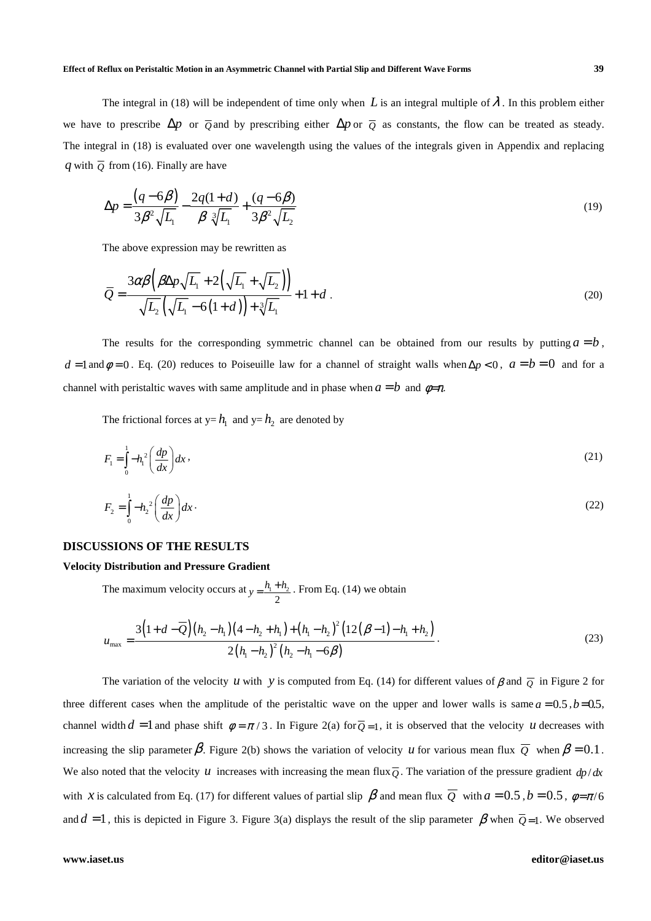The integral in (18) will be independent of time only when L is an integral multiple of  $\lambda$ . In this problem either we have to prescribe  $\Delta p$  or  $\overline{Q}$  and by prescribing either  $\Delta p$  or  $\overline{Q}$  as constants, the flow can be treated as steady. The integral in (18) is evaluated over one wavelength using the values of the integrals given in Appendix and replacing *q* with  $\overline{Q}$  from (16). Finally are have

$$
\Delta p = \frac{(q - 6\beta)}{3\beta^2 \sqrt{L_1}} - \frac{2q(1 + d)}{\beta \sqrt[3]{L_1}} + \frac{(q - 6\beta)}{3\beta^2 \sqrt{L_2}}
$$
(19)

The above expression may be rewritten as

$$
\overline{Q} = \frac{3\alpha\beta\left(\beta\Delta p\sqrt{L_1} + 2\left(\sqrt{L_1} + \sqrt{L_2}\right)\right)}{\sqrt{L_2}\left(\sqrt{L_1} - 6(1+d)\right) + \sqrt[3]{L_1}} + 1 + d.
$$
\n(20)

The results for the corresponding symmetric channel can be obtained from our results by putting  $a = b$ ,  $d = 1$  and  $\phi = 0$ . Eq. (20) reduces to Poiseuille law for a channel of straight walls when  $\Delta p < 0$ ,  $a = b = 0$  and for a channel with peristaltic waves with same amplitude and in phase when  $a = b$  and  $\phi = \pi$ .

The frictional forces at  $y=h_1$  and  $y=h_2$  are denoted by

$$
F_1 = \int_0^1 -h_1^2 \left(\frac{dp}{dx}\right) dx\,,\tag{21}
$$

$$
F_2 = \int_0^1 -h_2^2 \left(\frac{dp}{dx}\right) dx \,. \tag{22}
$$

#### **DISCUSSIONS OF THE RESULTS**

#### **Velocity Distribution and Pressure Gradient**

The maximum velocity occurs at  $v = \frac{h_1 + h_2}{h_1}$ 2  $y = \frac{h_1 + h_2}{2}$ . From Eq. (14) we obtain

$$
u_{\max} = \frac{3\left(1+d-\overline{Q}\right)\left(h_2-h_1\right)\left(4-h_2+h_1\right)+\left(h_1-h_2\right)^2\left(12\left(\beta-1\right)-h_1+h_2\right)}{2\left(h_1-h_2\right)^2\left(h_2-h_1-6\beta\right)}.
$$
\n(23)

The variation of the velocity *u* with *y* is computed from Eq. (14) for different values of  $\beta$  and  $\overline{Q}$  in Figure 2 for three different cases when the amplitude of the peristaltic wave on the upper and lower walls is same  $a = 0.5$ ,  $b=0.5$ , channel width  $d = 1$  and phase shift  $\phi = \pi/3$ . In Figure 2(a) for  $\overline{Q} = 1$ , it is observed that the velocity *u* decreases with increasing the slip parameter  $\beta$ . Figure 2(b) shows the variation of velocity *u* for various mean flux  $\overline{Q}$  when  $\beta = 0.1$ . We also noted that the velocity *u* increases with increasing the mean flux  $\overline{0}$ . The variation of the pressure gradient  $dp/dx$ with *x* is calculated from Eq. (17) for different values of partial slip  $\beta$  and mean flux  $\overline{Q}$  with  $a = 0.5$ ,  $b = 0.5$ ,  $\phi = \pi/6$ and  $d = 1$ , this is depicted in Figure 3. Figure 3(a) displays the result of the slip parameter  $\beta$  when  $\overline{Q} = 1$ . We observed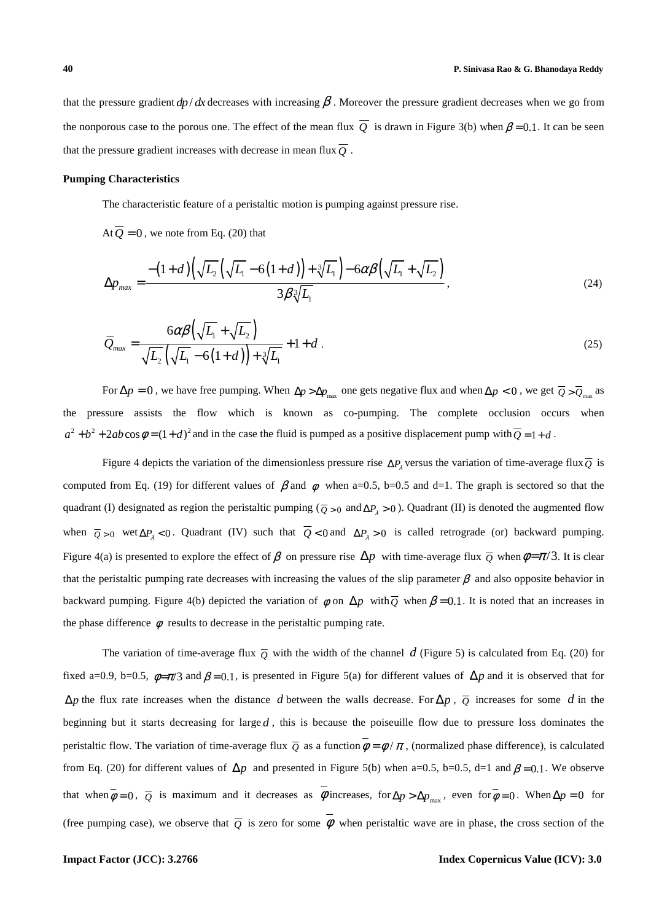that the pressure gradient  $dp/dx$  decreases with increasing  $\beta$ . Moreover the pressure gradient decreases when we go from the nonporous case to the porous one. The effect of the mean flux  $\overline{Q}$  is drawn in Figure 3(b) when  $\beta = 0.1$ . It can be seen that the pressure gradient increases with decrease in mean flux  $\overline{O}$ .

### **Pumping Characteristics**

The characteristic feature of a peristaltic motion is pumping against pressure rise.

At  $\overline{Q} = 0$ , we note from Eq. (20) that

$$
\Delta p_{\text{max}} = \frac{-\left(1+d\right)\left(\sqrt{L_2}\left(\sqrt{L_1}-6\left(1+d\right)\right)+\sqrt[3]{L_1}\right)-6\alpha\beta\left(\sqrt{L_1}+\sqrt{L_2}\right)}{3\beta\sqrt[3]{L_1}},\tag{24}
$$

$$
\overline{Q}_{max} = \frac{6\alpha\beta\left(\sqrt{L_1} + \sqrt{L_2}\right)}{\sqrt{L_2}\left(\sqrt{L_1} - 6(1+d)\right) + \sqrt[3]{L_1}} + 1 + d \tag{25}
$$

For  $\Delta p = 0$ , we have free pumping. When  $\Delta p > \Delta p_{max}$  one gets negative flux and when  $\Delta p < 0$ , we get  $\overline{Q} > \overline{Q}_{max}$  as the pressure assists the flow which is known as co-pumping. The complete occlusion occurs when  $a^2 + b^2 + 2ab\cos\phi = (1+d)^2$  and in the case the fluid is pumped as a positive displacement pump with  $\overline{Q} = 1+d$ .

Figure 4 depicts the variation of the dimensionless pressure rise  $\Delta P_\lambda$  versus the variation of time-average flux  $\overline{Q}$  is computed from Eq. (19) for different values of  $\beta$  and  $\phi$  when a=0.5, b=0.5 and d=1. The graph is sectored so that the quadrant (I) designated as region the peristaltic pumping ( $\overline{Q} > 0$  and  $\Delta P_\lambda > 0$ ). Quadrant (II) is denoted the augmented flow when  $\overline{Q} > 0$  wet  $\Delta P_{\lambda} < 0$ . Quadrant (IV) such that  $Q < 0$  and  $\Delta P_{\lambda} > 0$  is called retrograde (or) backward pumping. Figure 4(a) is presented to explore the effect of  $\beta$  on pressure rise  $\Delta p$  with time-average flux  $\overline{\rho}$  when  $\phi = \pi/3$ . It is clear that the peristaltic pumping rate decreases with increasing the values of the slip parameter  $\beta$  and also opposite behavior in backward pumping. Figure 4(b) depicted the variation of  $\phi$  on  $\Delta p$  with  $\overline{O}$  when  $\beta = 0.1$ . It is noted that an increases in the phase difference  $\phi$  results to decrease in the peristaltic pumping rate.

The variation of time-average flux  $\overline{Q}$  with the width of the channel d (Figure 5) is calculated from Eq. (20) for fixed a=0.9, b=0.5,  $\phi = \pi/3$  and  $\beta = 0.1$ , is presented in Figure 5(a) for different values of  $\Delta p$  and it is observed that for ∆*p* the flux rate increases when the distance *d* between the walls decrease. For ∆*p* , *Q* increases for some *d* in the beginning but it starts decreasing for large  $d$ , this is because the poiseuille flow due to pressure loss dominates the peristaltic flow. The variation of time-average flux  $\overline{\rho}$  as a function  $\phi = \phi / \pi$ , (normalized phase difference), is calculated from Eq. (20) for different values of  $\Delta p$  and presented in Figure 5(b) when a=0.5, b=0.5, d=1 and  $\beta$ =0.1. We observe that when  $\phi = 0$ ,  $\overline{Q}$  is maximum and it decreases as  $\phi$  increases, for  $\Delta p > \Delta p_{\text{max}}$ , even for  $\phi = 0$ . When  $\Delta p = 0$  for (free pumping case), we observe that  $\overline{Q}$  is zero for some  $\overline{\phi}$  when peristaltic wave are in phase, the cross section of the

# **Impact Factor (JCC): 3.2766 Index Copernicus Value (ICV): 3.0**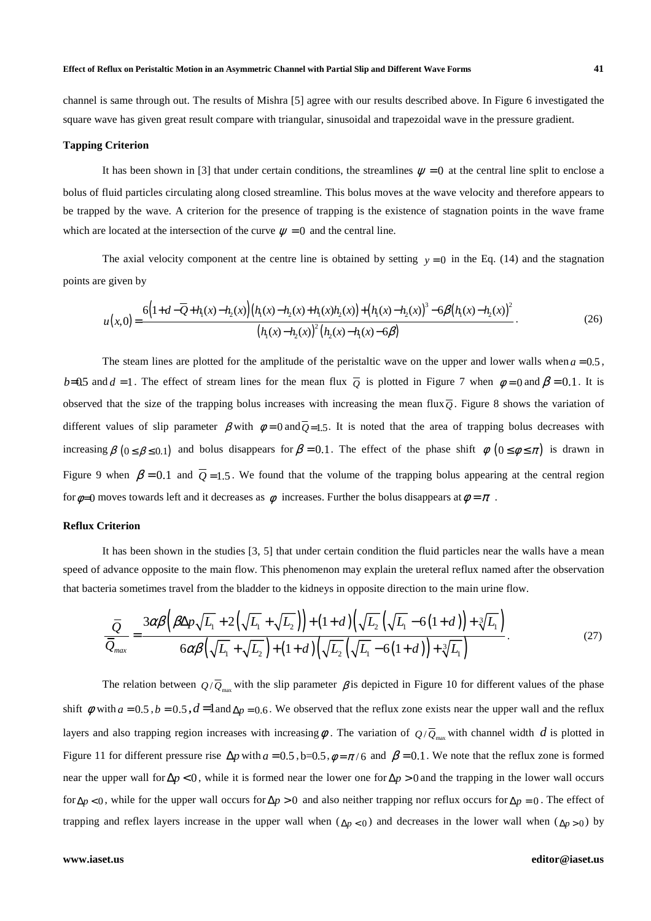#### **Effect of Reflux on Peristaltic Motion in an Asymmetric Channel with Partial Slip and Different Wave Forms 41**

channel is same through out. The results of Mishra [5] agree with our results described above. In Figure 6 investigated the square wave has given great result compare with triangular, sinusoidal and trapezoidal wave in the pressure gradient.

#### **Tapping Criterion**

It has been shown in [3] that under certain conditions, the streamlines  $\psi = 0$  at the central line split to enclose a bolus of fluid particles circulating along closed streamline. This bolus moves at the wave velocity and therefore appears to be trapped by the wave. A criterion for the presence of trapping is the existence of stagnation points in the wave frame which are located at the intersection of the curve  $\psi = 0$  and the central line.

The axial velocity component at the centre line is obtained by setting  $y = 0$  in the Eq. (14) and the stagnation points are given by

$$
u(x,0) = \frac{6(1+d-\overline{Q}+h_1(x)-h_2(x))(h_1(x)-h_2(x)+h_1(x)h_2(x))+(h_1(x)-h_2(x))^3-6\beta(h_1(x)-h_2(x))^2}{(h_1(x)-h_2(x))^2(h_2(x)-h_1(x)-6\beta)}.
$$
\n(26)

The steam lines are plotted for the amplitude of the peristaltic wave on the upper and lower walls when  $a = 0.5$ , *b*=0.5 and *d* = 1. The effect of stream lines for the mean flux  $\overline{Q}$  is plotted in Figure 7 when  $\phi = 0$  and  $\beta = 0.1$ . It is observed that the size of the trapping bolus increases with increasing the mean flux $\overline{O}$ . Figure 8 shows the variation of different values of slip parameter  $\beta$  with  $\phi = 0$  and  $\overline{O} = 1.5$ . It is noted that the area of trapping bolus decreases with increasing  $\beta$  ( $0 \le \beta \le 0.1$ ) and bolus disappears for  $\beta = 0.1$ . The effect of the phase shift  $\phi$  ( $0 \le \phi \le \pi$ ) is drawn in Figure 9 when  $\beta = 0.1$  and  $\overline{O} = 1.5$ . We found that the volume of the trapping bolus appearing at the central region for  $\phi$ =0 moves towards left and it decreases as  $\phi$  increases. Further the bolus disappears at  $\phi = \pi$ .

## **Reflux Criterion**

It has been shown in the studies [3, 5] that under certain condition the fluid particles near the walls have a mean speed of advance opposite to the main flow. This phenomenon may explain the ureteral reflux named after the observation that bacteria sometimes travel from the bladder to the kidneys in opposite direction to the main urine flow.

$$
\frac{\overline{Q}}{\overline{Q}_{max}} = \frac{3\alpha\beta\left(\beta\Delta p\sqrt{L_1} + 2\left(\sqrt{L_1} + \sqrt{L_2}\right)\right) + (1+d)\left(\sqrt{L_2}\left(\sqrt{L_1} - 6(1+d)\right) + \sqrt[3]{L_1}\right)}{6\alpha\beta\left(\sqrt{L_1} + \sqrt{L_2}\right) + (1+d)\left(\sqrt{L_2}\left(\sqrt{L_1} - 6(1+d)\right) + \sqrt[3]{L_1}\right)}.
$$
\n(27)

The relation between  $Q/\overline{Q}_{\text{max}}$  with the slip parameter  $\beta$  is depicted in Figure 10 for different values of the phase shift  $\phi$  with  $a = 0.5$ ,  $b = 0.5$ ,  $d = 1$ and  $\Delta p = 0.6$ . We observed that the reflux zone exists near the upper wall and the reflux layers and also trapping region increases with increasing  $\phi$  . The variation of  $Q/\overline{Q}_{\max}$  with channel width  $d$  is plotted in Figure 11 for different pressure rise  $\Delta p$  with  $a = 0.5$ ,  $b = 0.5$ ,  $\phi = \pi/6$  and  $\beta = 0.1$ . We note that the reflux zone is formed near the upper wall for  $\Delta p < 0$ , while it is formed near the lower one for  $\Delta p > 0$  and the trapping in the lower wall occurs for  $\Delta p < 0$ , while for the upper wall occurs for  $\Delta p > 0$  and also neither trapping nor reflux occurs for  $\Delta p = 0$ . The effect of trapping and reflex layers increase in the upper wall when  $(\Delta p < 0)$  and decreases in the lower wall when  $(\Delta p > 0)$  by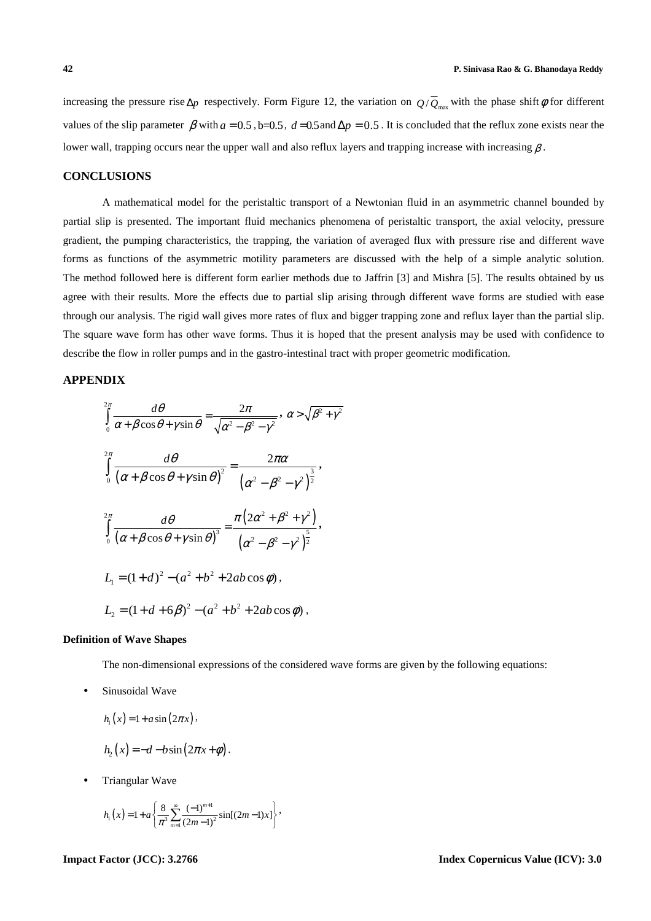increasing the pressure rise  $\Delta p$  respectively. Form Figure 12, the variation on  $Q/\overline{Q}_{max}$  with the phase shift  $\phi$  for different values of the slip parameter  $\beta$  with  $a = 0.5$ ,  $b = 0.5$ ,  $d = 0.5$  and  $\Delta p = 0.5$ . It is concluded that the reflux zone exists near the lower wall, trapping occurs near the upper wall and also reflux layers and trapping increase with increasing  $\beta$ .

# **CONCLUSIONS**

A mathematical model for the peristaltic transport of a Newtonian fluid in an asymmetric channel bounded by partial slip is presented. The important fluid mechanics phenomena of peristaltic transport, the axial velocity, pressure gradient, the pumping characteristics, the trapping, the variation of averaged flux with pressure rise and different wave forms as functions of the asymmetric motility parameters are discussed with the help of a simple analytic solution. The method followed here is different form earlier methods due to Jaffrin [3] and Mishra [5]. The results obtained by us agree with their results. More the effects due to partial slip arising through different wave forms are studied with ease through our analysis. The rigid wall gives more rates of flux and bigger trapping zone and reflux layer than the partial slip. The square wave form has other wave forms. Thus it is hoped that the present analysis may be used with confidence to describe the flow in roller pumps and in the gastro-intestinal tract with proper geometric modification.

## **APPENDIX**

$$
\int_{0}^{2\pi} \frac{d\theta}{\alpha + \beta \cos \theta + \gamma \sin \theta} = \frac{2\pi}{\sqrt{\alpha^2 - \beta^2 - \gamma^2}}, \ \alpha > \sqrt{\beta^2 + \gamma^2}
$$

$$
\int_{0}^{2\pi} \frac{d\theta}{(\alpha + \beta \cos \theta + \gamma \sin \theta)^2} = \frac{2\pi \alpha}{(\alpha^2 - \beta^2 - \gamma^2)^{\frac{3}{2}}},
$$

$$
\int_{0}^{2\pi} \frac{d\theta}{(\alpha + \beta \cos \theta + \gamma \sin \theta)^3} = \frac{\pi (2\alpha^2 + \beta^2 + \gamma^2)}{(\alpha^2 - \beta^2 - \gamma^2)^{\frac{5}{2}}},
$$

$$
L_1 = (1 + d)^2 - (\alpha^2 + b^2 + 2ab \cos \phi),
$$

$$
L_2 = (1 + d + 6\beta)^2 - (\alpha^2 + b^2 + 2ab \cos \phi),
$$

#### **Definition of Wave Shapes**

The non-dimensional expressions of the considered wave forms are given by the following equations:

Sinusoidal Wave

$$
h_1(x) = 1 + a\sin(2\pi x),
$$

$$
h_2(x) = -d - b\sin(2\pi x + \phi).
$$

• Triangular Wave

$$
h_1(x) = 1 + a \left\{ \frac{8}{\pi^3} \sum_{m=1}^{\infty} \frac{(-1)^{m+1}}{(2m-1)^2} \sin[(2m-1)x] \right\},\,
$$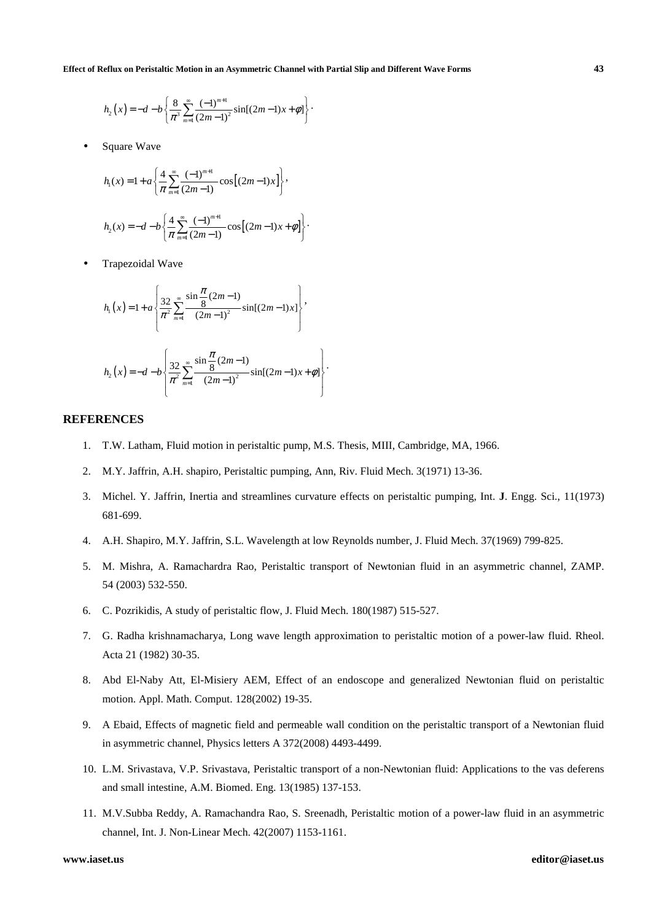$$
h_2(x) = -d - b \left\{ \frac{8}{\pi^3} \sum_{m=1}^{\infty} \frac{(-1)^{m+1}}{(2m-1)^2} \sin[(2m-1)x + \phi] \right\}.
$$

Square Wave

$$
h_1(x) = 1 + a \left\{ \frac{4}{\pi} \sum_{m=1}^{\infty} \frac{(-1)^{m+1}}{(2m-1)} \cos[(2m-1)x] \right\},\,
$$
  

$$
h_2(x) = -d - b \left\{ \frac{4}{\pi} \sum_{m=1}^{\infty} \frac{(-1)^{m+1}}{(2m-1)} \cos[(2m-1)x + \phi] \right\}.
$$

• Trapezoidal Wave

$$
h_{1}(x) = 1 + a \left\{ \frac{32}{\pi^{2}} \sum_{m=1}^{\infty} \frac{\sin \frac{\pi}{8} (2m-1)}{(2m-1)^{2}} \sin[(2m-1)x] \right\},\newline h_{2}(x) = -d - b \left\{ \frac{32}{\pi^{2}} \sum_{m=1}^{\infty} \frac{\sin \frac{\pi}{8} (2m-1)}{(2m-1)^{2}} \sin[(2m-1)x + \phi] \right\}
$$

# **REFERENCES**

- 1. T.W. Latham, Fluid motion in peristaltic pump, M.S. Thesis, MIII, Cambridge, MA, 1966.
- 2. M.Y. Jaffrin, A.H. shapiro, Peristaltic pumping, Ann, Riv. Fluid Mech. 3(1971) 13-36.
- 3. Michel. Y. Jaffrin, Inertia and streamlines curvature effects on peristaltic pumping, Int. **J**. Engg. Sci., 11(1973) 681-699.

.

- 4. A.H. Shapiro, M.Y. Jaffrin, S.L. Wavelength at low Reynolds number, J. Fluid Mech. 37(1969) 799-825.
- 5. M. Mishra, A. Ramachardra Rao, Peristaltic transport of Newtonian fluid in an asymmetric channel, ZAMP. 54 (2003) 532-550.
- 6. C. Pozrikidis, A study of peristaltic flow, J. Fluid Mech. 180(1987) 515-527.
- 7. G. Radha krishnamacharya, Long wave length approximation to peristaltic motion of a power-law fluid. Rheol. Acta 21 (1982) 30-35.
- 8. Abd El-Naby Att, El-Misiery AEM, Effect of an endoscope and generalized Newtonian fluid on peristaltic motion. Appl. Math. Comput. 128(2002) 19-35.
- 9. A Ebaid, Effects of magnetic field and permeable wall condition on the peristaltic transport of a Newtonian fluid in asymmetric channel, Physics letters A 372(2008) 4493-4499.
- 10. L.M. Srivastava, V.P. Srivastava, Peristaltic transport of a non-Newtonian fluid: Applications to the vas deferens and small intestine, A.M. Biomed. Eng. 13(1985) 137-153.
- 11. M.V.Subba Reddy, A. Ramachandra Rao, S. Sreenadh, Peristaltic motion of a power-law fluid in an asymmetric channel, Int. J. Non-Linear Mech. 42(2007) 1153-1161.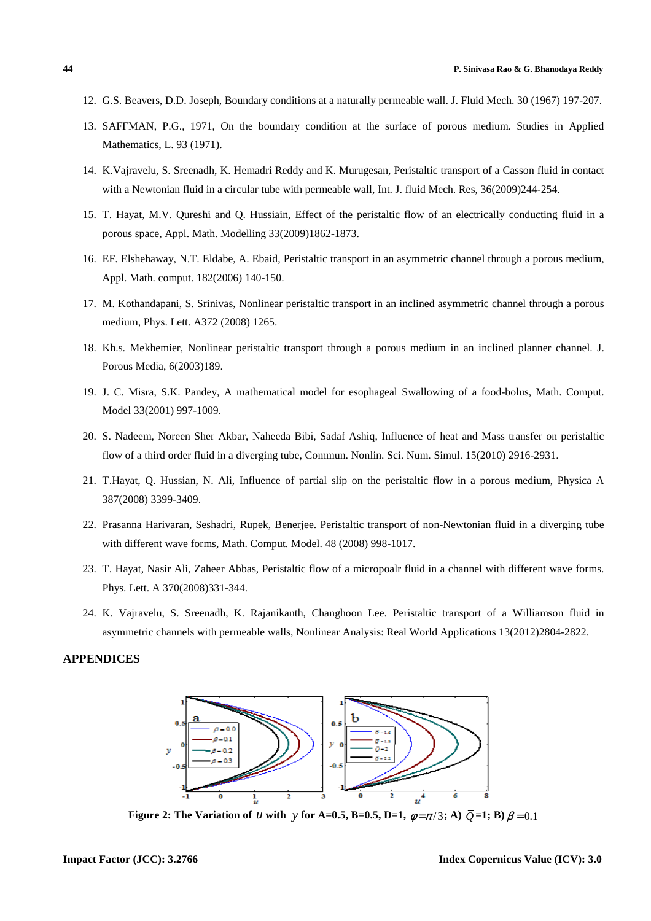- 12. G.S. Beavers, D.D. Joseph, Boundary conditions at a naturally permeable wall. J. Fluid Mech. 30 (1967) 197-207.
- 13. SAFFMAN, P.G., 1971, On the boundary condition at the surface of porous medium. Studies in Applied Mathematics, L. 93 (1971).
- 14. K.Vajravelu, S. Sreenadh, K. Hemadri Reddy and K. Murugesan, Peristaltic transport of a Casson fluid in contact with a Newtonian fluid in a circular tube with permeable wall, Int. J. fluid Mech. Res, 36(2009)244-254.
- 15. T. Hayat, M.V. Qureshi and Q. Hussiain, Effect of the peristaltic flow of an electrically conducting fluid in a porous space, Appl. Math. Modelling 33(2009)1862-1873.
- 16. EF. Elshehaway, N.T. Eldabe, A. Ebaid, Peristaltic transport in an asymmetric channel through a porous medium, Appl. Math. comput. 182(2006) 140-150.
- 17. M. Kothandapani, S. Srinivas, Nonlinear peristaltic transport in an inclined asymmetric channel through a porous medium, Phys. Lett. A372 (2008) 1265.
- 18. Kh.s. Mekhemier, Nonlinear peristaltic transport through a porous medium in an inclined planner channel. J. Porous Media, 6(2003)189.
- 19. J. C. Misra, S.K. Pandey, A mathematical model for esophageal Swallowing of a food-bolus, Math. Comput. Model 33(2001) 997-1009.
- 20. S. Nadeem, Noreen Sher Akbar, Naheeda Bibi, Sadaf Ashiq, Influence of heat and Mass transfer on peristaltic flow of a third order fluid in a diverging tube, Commun. Nonlin. Sci. Num. Simul. 15(2010) 2916-2931.
- 21. T.Hayat, Q. Hussian, N. Ali, Influence of partial slip on the peristaltic flow in a porous medium, Physica A 387(2008) 3399-3409.
- 22. Prasanna Harivaran, Seshadri, Rupek, Benerjee. Peristaltic transport of non-Newtonian fluid in a diverging tube with different wave forms, Math. Comput. Model. 48 (2008) 998-1017.
- 23. T. Hayat, Nasir Ali, Zaheer Abbas, Peristaltic flow of a micropoalr fluid in a channel with different wave forms. Phys. Lett. A 370(2008)331-344.
- 24. K. Vajravelu, S. Sreenadh, K. Rajanikanth, Changhoon Lee. Peristaltic transport of a Williamson fluid in asymmetric channels with permeable walls, Nonlinear Analysis: Real World Applications 13(2012)2804-2822.

# **APPENDICES**



**Figure 2: The Variation of** *u* **with** *y* **for A=0.5, B=0.5, D=1,**  $\phi = \pi/3$ **; A)**  $\bar{Q} = 1$ **; B)**  $\beta = 0.1$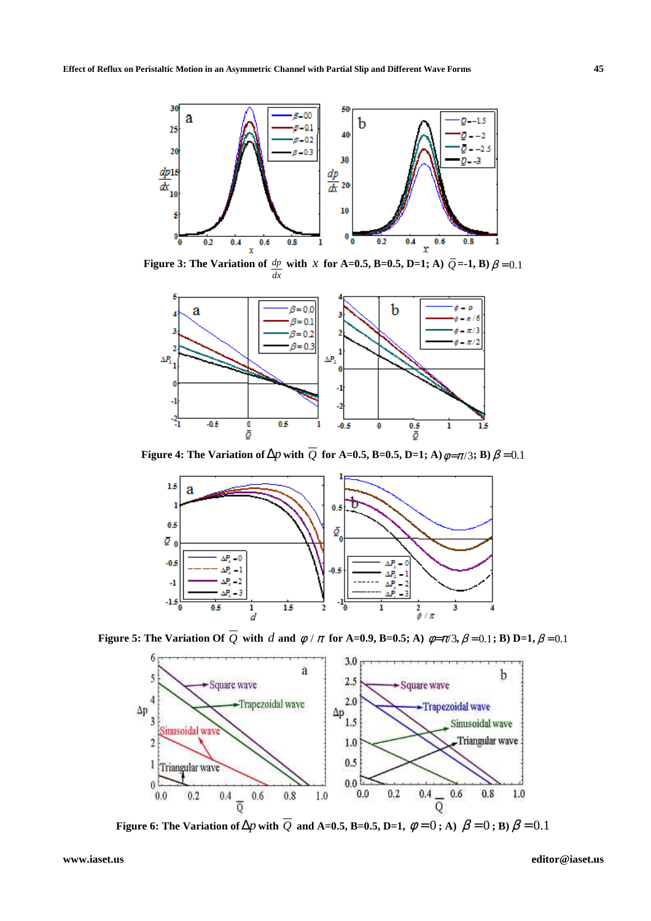

**Figure 3: The Variation of** *dp dx*  **with** *x* for A=0.5, B=0.5, D=1; A)  $\overline{Q}$ =-1, B)  $\beta$  = 0.1



**Figure 4: The Variation of**  $\Delta p$  with  $\overline{Q}$  for A=0.5, B=0.5, D=1; A) $\phi = \pi/3$ ; B)  $\beta = 0.1$ 



**Figure 5: The Variation Of**  $\overline{Q}$  **with** *d* **and**  $\phi / \pi$  **for A=0.9, B=0.5; A)**  $\phi = \pi/3$ **,**  $\beta = 0.1$ **; B) D=1,**  $\beta = 0.1$ 



**Figure 6:** The Variation of  $\Delta p$  with  $\overline{Q}$  and A=0.5, B=0.5, D=1,  $\phi = 0$ ; A)  $\beta = 0$ ; B)  $\beta = 0.1$ 

**www.iaset.us editor@iaset.us**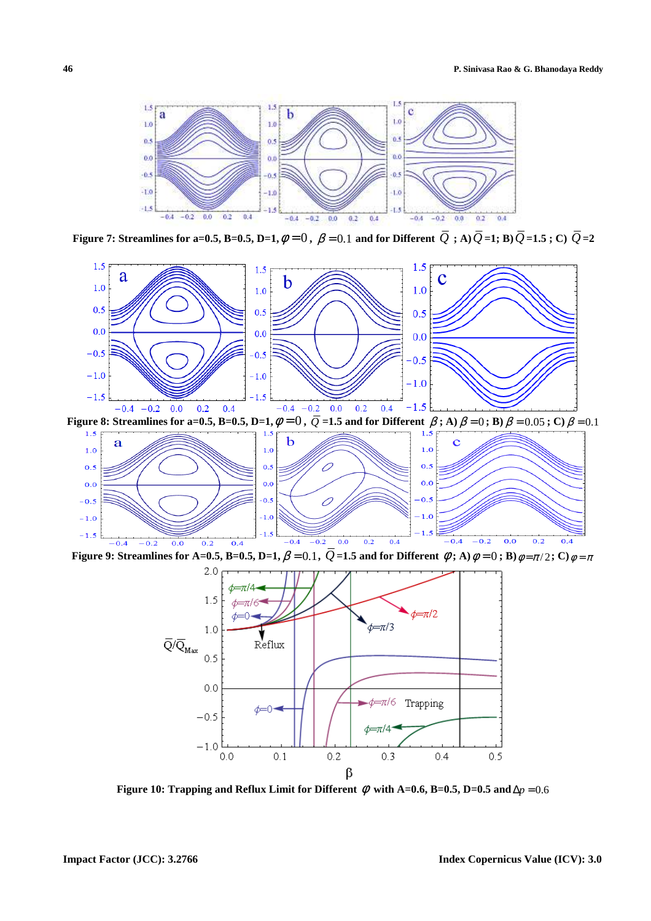

**Figure 7: Streamlines for a=0.5, B=0.5, D=1,**  $\phi = 0$ ,  $\beta = 0.1$  and for Different  $\overline{Q}$ ; A) $\overline{Q}$ =1; B) $\overline{Q}$ =1.5; C)  $\overline{Q}$ =2



**Figure 9: Streamlines for A=0.5, B=0.5, D=1,**  $\beta$  = 0.1,  $\bar{Q}$  =1.5 and for Different  $\phi$ ; A) $\phi$  = 0; B) $\phi$  =  $\pi$ /2; C) $\phi$  =  $\pi$ 



**Figure 10: Trapping and Reflux Limit for Different**  $\phi$  **with A=0.6, B=0.5, D=0.5 and**  $\Delta p = 0.6$